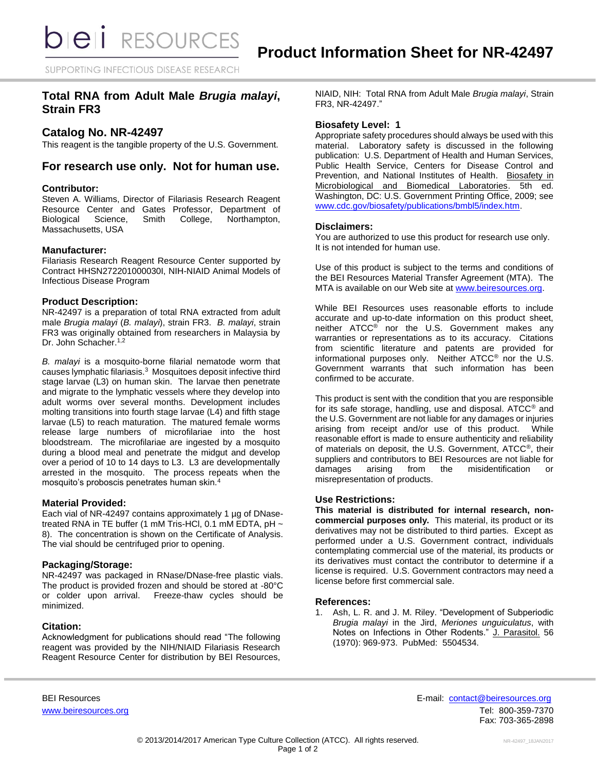SUPPORTING INFECTIOUS DISEASE RESEARCH

# **Total RNA from Adult Male** *Brugia malayi***, Strain FR3**

## **Catalog No. NR-42497**

This reagent is the tangible property of the U.S. Government.

## **For research use only. Not for human use.**

#### **Contributor:**

Steven A. Williams, Director of Filariasis Research Reagent Resource Center and Gates Professor, Department of Biological Science, Smith College, Northampton, Biological Science, Smith College, Northampton, Massachusetts, USA

## **Manufacturer:**

Filariasis Research Reagent Resource Center supported by Contract HHSN272201000030I, NIH-NIAID Animal Models of Infectious Disease Program

## **Product Description:**

NR-42497 is a preparation of total RNA extracted from adult male *Brugia malayi* (*B. malayi*), strain FR3. *B. malayi*, strain FR3 was originally obtained from researchers in Malaysia by Dr. John Schacher.<sup>1,2</sup>

*B. malayi* is a mosquito-borne filarial nematode worm that causes lymphatic filariasis.<sup>3</sup> Mosquitoes deposit infective third stage larvae (L3) on human skin. The larvae then penetrate and migrate to the lymphatic vessels where they develop into adult worms over several months. Development includes molting transitions into fourth stage larvae (L4) and fifth stage larvae (L5) to reach maturation. The matured female worms release large numbers of microfilariae into the host bloodstream. The microfilariae are ingested by a mosquito during a blood meal and penetrate the midgut and develop over a period of 10 to 14 days to L3. L3 are developmentally arrested in the mosquito. The process repeats when the mosquito's proboscis penetrates human skin.<sup>4</sup>

#### **Material Provided:**

Each vial of NR-42497 contains approximately 1 µg of DNasetreated RNA in TE buffer (1 mM Tris-HCl, 0.1 mM EDTA, pH ~ 8). The concentration is shown on the Certificate of Analysis. The vial should be centrifuged prior to opening.

#### **Packaging/Storage:**

NR-42497 was packaged in RNase/DNase-free plastic vials. The product is provided frozen and should be stored at -80°C or colder upon arrival. Freeze-thaw cycles should be minimized.

## **Citation:**

Acknowledgment for publications should read "The following reagent was provided by the NIH/NIAID Filariasis Research Reagent Resource Center for distribution by BEI Resources, NIAID, NIH: Total RNA from Adult Male *Brugia malayi*, Strain FR3, NR-42497."

#### **Biosafety Level: 1**

Appropriate safety procedures should always be used with this material. Laboratory safety is discussed in the following publication: U.S. Department of Health and Human Services, Public Health Service, Centers for Disease Control and Prevention, and National Institutes of Health. Biosafety in Microbiological and Biomedical Laboratories. 5th ed. Washington, DC: U.S. Government Printing Office, 2009; see [www.cdc.gov/biosafety/publications/bmbl5/index.htm.](http://www.cdc.gov/biosafety/publications/bmbl5/index.htm)

#### **Disclaimers:**

You are authorized to use this product for research use only. It is not intended for human use.

Use of this product is subject to the terms and conditions of the BEI Resources Material Transfer Agreement (MTA). The MTA is available on our Web site at [www.beiresources.org.](http://www.beiresources.org/)

While BEI Resources uses reasonable efforts to include accurate and up-to-date information on this product sheet, neither ATCC<sup>®</sup> nor the U.S. Government makes any warranties or representations as to its accuracy. Citations from scientific literature and patents are provided for informational purposes only. Neither ATCC® nor the U.S. Government warrants that such information has been confirmed to be accurate.

This product is sent with the condition that you are responsible for its safe storage, handling, use and disposal. ATCC® and the U.S. Government are not liable for any damages or injuries arising from receipt and/or use of this product. While reasonable effort is made to ensure authenticity and reliability of materials on deposit, the U.S. Government, ATCC®, their suppliers and contributors to BEI Resources are not liable for damages arising from the misidentification or misrepresentation of products.

## **Use Restrictions:**

**This material is distributed for internal research, noncommercial purposes only.** This material, its product or its derivatives may not be distributed to third parties. Except as performed under a U.S. Government contract, individuals contemplating commercial use of the material, its products or its derivatives must contact the contributor to determine if a license is required. U.S. Government contractors may need a license before first commercial sale.

#### **References:**

1. Ash, L. R. and J. M. Riley. "Development of Subperiodic *Brugia malayi* in the Jird, *Meriones unguiculatus*, with Notes on Infections in Other Rodents." J. Parasitol. 56 (1970): 969-973. PubMed: 5504534.

BEI Resources E-mail: [contact@beiresources.org](mailto:contact@beiresources.org) [www.beiresources.org](http://www.beiresources.org/) **Tel: 800-359-7370** Fax: 703-365-2898